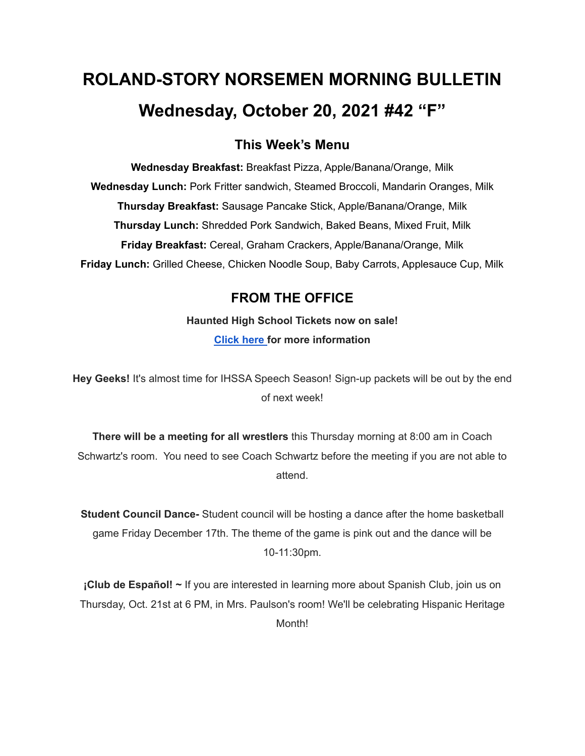# **ROLAND-STORY NORSEMEN MORNING BULLETIN Wednesday, October 20, 2021 #42 "F"**

## **This Week's Menu**

**Wednesday Breakfast:** Breakfast Pizza, Apple/Banana/Orange, Milk **Wednesday Lunch:** Pork Fritter sandwich, Steamed Broccoli, Mandarin Oranges, Milk **Thursday Breakfast:** Sausage Pancake Stick, Apple/Banana/Orange, Milk **Thursday Lunch:** Shredded Pork Sandwich, Baked Beans, Mixed Fruit, Milk **Friday Breakfast:** Cereal, Graham Crackers, Apple/Banana/Orange, Milk **Friday Lunch:** Grilled Cheese, Chicken Noodle Soup, Baby Carrots, Applesauce Cup, Milk

## **FROM THE OFFICE**

**Haunted High School Tickets now on sale! [Click](https://drive.google.com/file/d/1QQXVvjnwkvK4mkS1QKdNp9LhOMZRHqKl/view?usp=sharing) here for more information**

**Hey Geeks!** It's almost time for IHSSA Speech Season! Sign-up packets will be out by the end of next week!

**There will be a meeting for all wrestlers** this Thursday morning at 8:00 am in Coach Schwartz's room. You need to see Coach Schwartz before the meeting if you are not able to attend.

**Student Council Dance-** Student council will be hosting a dance after the home basketball game Friday December 17th. The theme of the game is pink out and the dance will be 10-11:30pm.

**¡Club de Español! ~** If you are interested in learning more about Spanish Club, join us on Thursday, Oct. 21st at 6 PM, in Mrs. Paulson's room! We'll be celebrating Hispanic Heritage Month!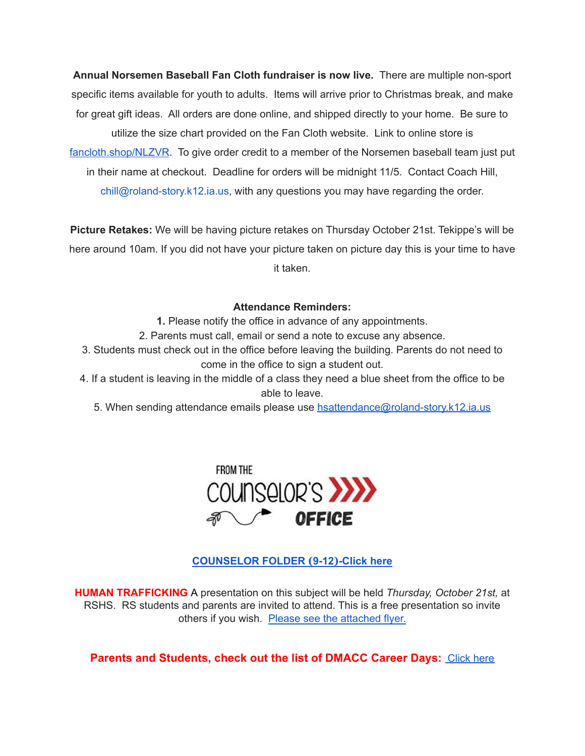**Annual Norsemen Baseball Fan Cloth fundraiser is now live.** There are multiple non-sport specific items available for youth to adults. Items will arrive prior to Christmas break, and make for great gift ideas. All orders are done online, and shipped directly to your home. Be sure to utilize the size chart provided on the Fan Cloth website. Link to online store is [fancloth.shop/NLZVR](http://fancloth.shop/NLZVR). To give order credit to a member of the Norsemen baseball team just put in their name at checkout. Deadline for orders will be midnight 11/5. Contact Coach Hill, chill@roland-story.k12.ia.us, with any questions you may have regarding the order.

**Picture Retakes:** We will be having picture retakes on Thursday October 21st. Tekippe's will be here around 10am. If you did not have your picture taken on picture day this is your time to have it taken.

#### **Attendance Reminders:**

**1.** Please notify the office in advance of any appointments.

2. Parents must call, email or send a note to excuse any absence.

3. Students must check out in the office before leaving the building. Parents do not need to come in the office to sign a student out.

4. If a student is leaving in the middle of a class they need a blue sheet from the office to be able to leave.

5. When sending attendance emails please use [hsattendance@roland-story.k12.ia.us](mailto:hsattendance@roland-story.k12.ia.us)



#### **[COUNSELOR](https://docs.google.com/document/d/1vmwczNPbDzXe9vFaG5LJMQ7NYDv-i4oQJHybqA65TUc/edit?usp=sharing) FOLDER (9-12)-Click here**

**HUMAN TRAFFICKING** A presentation on this subject will be held *Thursday, October 21st,* at RSHS. RS students and parents are invited to attend. This is a free presentation so invite others if you wish. Please see the [attached](https://drive.google.com/file/d/1yauLbYbFOUL1W6YeHUsplVp9VT4j6PbF/view?usp=sharing) flyer.

**Parents and Students, check out the list of DMACC Career Days: [Click](https://www.dmacc.edu/careerdiscovery/Pages/careerdiscovery.aspx) here**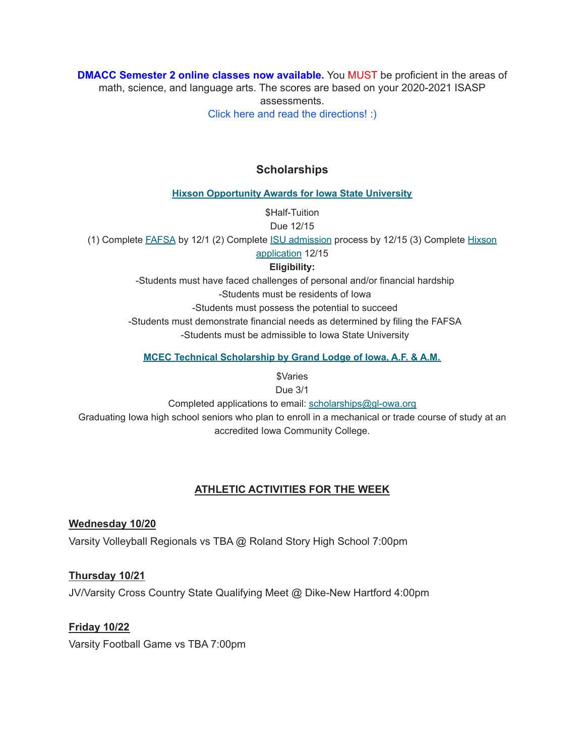**DMACC Semester 2 online classes now available.** You MUST be proficient in the areas of math, science, and language arts. The scores are based on your 2020-2021 ISASP assessments. Click here and read the [directions!](https://docs.google.com/document/d/1DwEmgrLuBDkU4bqokTEqzimj1v3EFqhLcx5OUZTQjsg/edit?usp=sharing) :)

**Scholarships**

**Hixson [Opportunity](https://www.hixson.dso.iastate.edu/application/online-application-process) Awards for Iowa State University**

\$Half-Tuition

Due 12/15

(1) Complete [FAFSA](https://studentaid.gov/h/apply-for-aid/fafsa) by 12/1 (2) Complete ISU [admission](https://apps.admissions.iastate.edu/apply/online/) process by 12/15 (3) Complete [Hixson](https://apps-dso.sws.iastate.edu/scholarship/hixson/app)

[application](https://apps-dso.sws.iastate.edu/scholarship/hixson/app) 12/15

**Eligibility:**

-Students must have faced challenges of personal and/or financial hardship

-Students must be residents of Iowa

-Students must possess the potential to succeed

-Students must demonstrate financial needs as determined by filing the FAFSA

-Students must be admissible to Iowa State University

**MCEC Technical [Scholarship](https://grandlodgeofiowa.org/wp-content/uploads/2021/10/MCEC_ScholarshipApplication_2022.pdf) by Grand Lodge of Iowa, A.F. & A.M.**

*<u>SVaries</u>* 

Due 3/1

Completed applications to email: scholarships@gl-owa.org Graduating Iowa high school seniors who plan to enroll in a mechanical or trade course of study at an accredited Iowa Community College.

#### **ATHLETIC ACTIVITIES FOR THE WEEK**

**Wednesday 10/20** Varsity Volleyball Regionals vs TBA @ Roland Story High School 7:00pm

**Thursday 10/21** JV/Varsity Cross Country State Qualifying Meet @ Dike-New Hartford 4:00pm

**Friday 10/22** Varsity Football Game vs TBA 7:00pm